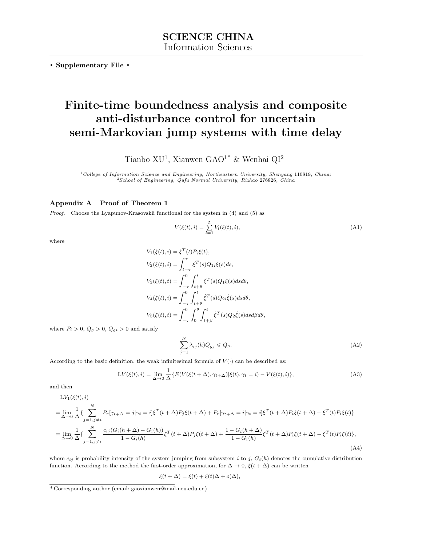**. Supplementary File .**

# **Finite-time boundedness analysis and composite anti-disturbance control for uncertain semi-Markovian jump systems with time delay**

Tianbo XU<sup>1</sup>, Xianwen GAO<sup>1\*</sup> & Wenhai QI<sup>2</sup>

<sup>1</sup>*College of Information Science and Engineering, Northeastern University, Shenyang* 110819*, China;* <sup>2</sup>*School of Engineering, Qufu Normal University, Rizhao* 276826*, China*

### **Appendix A Proof of Theorem 1**

*Proof.* Choose the Lyapunov-Krasovskii functional for the system in (4) and (5) as

$$
V(\xi(t), i) = \sum_{l=1}^{5} V_l(\xi(t), i),
$$
\n(A1)

where

$$
V_1(\xi(t), i) = \xi^T(t) P_i \xi(t),
$$
  
\n
$$
V_2(\xi(t), i) = \int_{t-\tau}^{\tau} \xi^T(s) Q_{1i} \xi(s) ds,
$$
  
\n
$$
V_3(\xi(t), t) = \int_{-\tau}^{0} \int_{t+\theta}^{t} \xi^T(s) Q_1 \xi(s) ds d\theta,
$$
  
\n
$$
V_4(\xi(t), i) = \int_{-\tau}^{0} \int_{t+\theta}^{t} \xi^T(s) Q_{2i} \xi(s) ds d\theta,
$$
  
\n
$$
V_5(\xi(t), t) = \int_{-\tau}^{0} \int_{t+\beta}^{\theta} \xi^T(s) Q_2 \xi(s) ds d\beta d\theta,
$$

where  $P_i > 0$ ,  $Q_g > 0$ ,  $Q_{gi} > 0$  and satisfy

$$
\sum_{j=1}^{N} \lambda_{ij}(h) Q_{gj} \leqslant Q_g. \tag{A2}
$$

According to the basic definition, the weak infinitesimal formula of  $V(\cdot)$  can be described as:

$$
\mathbb{L}V(\xi(t),i) = \lim_{\Delta \to 0} \frac{1}{\Delta} \{ E(V(\xi(t+\Delta), \gamma_{t+\Delta}) | \xi(t), \gamma_t = i) - V(\xi(t),i) \},\tag{A3}
$$

and then

 $\mathbb{L}V_1(\xi(t),i)$ 

$$
= \lim_{\Delta \to 0} \frac{1}{\Delta} \left\{ \sum_{j=1, j \neq i}^{N} P_r[\gamma_{t+\Delta} = j | \gamma_t = i] \xi^T(t+\Delta) P_j \xi(t+\Delta) + P_r[\gamma_{t+\Delta} = i | \gamma_t = i] \xi^T(t+\Delta) P_i \xi(t+\Delta) - \xi^T(t) P_i \xi(t) \right\}
$$

$$
= \lim_{\Delta \to 0} \frac{1}{\Delta} \left\{ \sum_{j=1, j \neq i}^{N} \frac{c_{ij} (G_i(h+\Delta) - G_i(h))}{1 - G_i(h)} \xi^T(t+\Delta) P_j \xi(t+\Delta) + \frac{1 - G_i(h+\Delta)}{1 - G_i(h)} \xi^T(t+\Delta) P_i \xi(t+\Delta) - \xi^T(t) P_i \xi(t) \right\},\tag{A4}
$$

where  $c_{ij}$  is probability intensity of the system jumping from subsystem *i* to *j*,  $G_i(h)$  denotes the cumulative distribution function. According to the method the first-order approximation, for  $\Delta \to 0$ ,  $\xi(t + \Delta)$  can be written

$$
\xi(t+\Delta) = \xi(t) + \dot{\xi}(t)\Delta + o(\Delta),
$$

<sup>\*</sup> Corresponding author (email: gaoxianwen@mail.neu.edu.cn)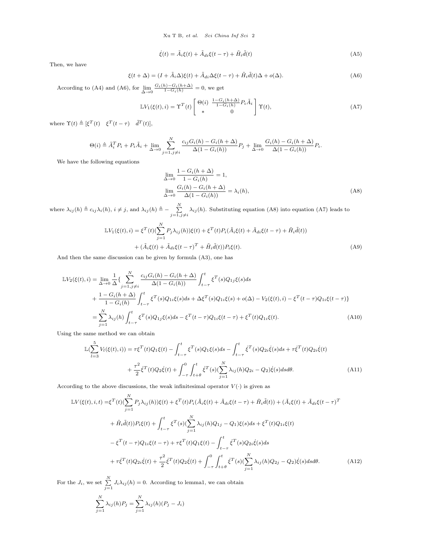$$
\dot{\xi}(t) = \tilde{A}_i \xi(t) + \tilde{A}_{di} \xi(t - \tau) + \tilde{H}_i \tilde{d}(t)
$$
\n(A5)

Then, we have

$$
\xi(t+\Delta) = (I + \tilde{A}_i \Delta)\xi(t) + \tilde{A}_{di}\Delta\xi(t-\tau) + \tilde{H}_i\tilde{d}(t)\Delta + o(\Delta). \tag{A6}
$$

According to (A4) and (A6), for  $\lim_{\Delta \to 0}$  $\frac{G_i(h) - G_i(h + \Delta)}{1 - G_i(h)} = 0$ , we get

$$
\mathbb{L}V_1(\xi(t),i) = \Upsilon^T(t) \begin{bmatrix} \Theta(i) & \frac{1-G_i(h+\Delta)}{1-G_i(h)} P_i \tilde{A}_i \\ * & 0 \end{bmatrix} \Upsilon(t), \tag{A7}
$$

where  $\Upsilon(t) \triangleq [\xi^T(t) \quad \xi^T(t-\tau) \quad \tilde{d}^T(t)],$ 

$$
\Theta(i) \triangleq \tilde{A}_i^T P_i + P_i \tilde{A}_i + \lim_{\Delta \to 0} \sum_{j=1, j \neq i}^N \frac{c_{ij} G_i(h) - G_i(h + \Delta)}{\Delta (1 - G_i(h))} P_j + \lim_{\Delta \to 0} \frac{G_i(h) - G_i(h + \Delta)}{\Delta (1 - G_i(h))} P_i.
$$

We have the following equations

$$
\lim_{\Delta \to 0} \frac{1 - G_i(h + \Delta)}{1 - G_i(h)} = 1,
$$
\n
$$
\lim_{\Delta \to 0} \frac{G_i(h) - G_i(h + \Delta)}{\Delta(1 - G_i(h))} = \lambda_i(h),
$$
\n(A8)

where  $\lambda_{ij}(h) \triangleq c_{ij}\lambda_i(h), i \neq j$ , and  $\lambda_{ij}(h) \triangleq -\sum_{i=1}^N \lambda_i(h)$  $j=1, j\neq i$  $\lambda_{ij}(h)$ . Substituting equation (A8) into equation (A7) leads to

$$
\mathbb{L}V_1(\xi(t),i) = \xi^T(t)\left(\sum_{j=1}^N P_j \lambda_{ij}(h)\right)\xi(t) + \xi^T(t)P_i(\tilde{A}_i\xi(t) + \tilde{A}_{di}\xi(t-\tau) + \tilde{H}_i\tilde{d}(t))
$$

$$
+ (\tilde{A}_i\xi(t) + \tilde{A}_{di}\xi(t-\tau)^T + \tilde{H}_i\tilde{d}(t))P_i\xi(t).
$$
(A9)

And then the same discussion can be given by formula (A3), one has

$$
\mathbb{L}V_{2}(\xi(t),i) = \lim_{\Delta \to 0} \frac{1}{\Delta} \left\{ \sum_{j=1,j\neq i}^{N} \frac{c_{ij}G_{i}(h) - G_{i}(h+\Delta)}{\Delta(1 - G_{i}(h))} \int_{t-\tau}^{t} \xi^{T}(s)Q_{1j}\xi(s)ds \right.\n+ \frac{1 - G_{i}(h+\Delta)}{1 - G_{i}(h)} \int_{t-\tau}^{t} \xi^{T}(s)Q_{1i}\xi(s)ds + \Delta\xi^{T}(s)Q_{1i}\xi(s) + o(\Delta) - V_{2}(\xi(t),i) - \xi^{T}(t-\tau)Q_{1i}\xi(t-\tau) \right\}\n= \sum_{j=1}^{N} \lambda_{ij}(h) \int_{t-\tau}^{t} \xi^{T}(s)Q_{1j}\xi(s)ds - \xi^{T}(t-\tau)Q_{1i}\xi(t-\tau) + \xi^{T}(t)Q_{1i}\xi(t).
$$
\n(A10)

Using the same method we can obtain

$$
\mathbb{L}(\sum_{l=3}^{5} V_{l}(\xi(t), i)) = \tau \xi^{T}(t) Q_{1} \xi(t) - \int_{t-\tau}^{t} \xi^{T}(s) Q_{1} \xi(s) ds - \int_{t-\tau}^{t} \xi^{T}(s) Q_{2i} \dot{\xi}(s) ds + \tau \dot{\xi}^{T}(t) Q_{2i} \dot{\xi}(t) + \frac{\tau^{2}}{2} \dot{\xi}^{T}(t) Q_{2} \dot{\xi}(t) + \int_{-\tau}^{0} \int_{t+\theta}^{t} \xi^{T}(s) (\sum_{j=1}^{N} \lambda_{ij}(h) Q_{2i} - Q_{2}) \dot{\xi}(s) ds d\theta.
$$
 (A11)

According to the above discussions, the weak infinitesimal operator  $V(\cdot)$  is given as

$$
\mathbb{L}V(\xi(t),i,t) = \xi^{T}(t)\left(\sum_{j=1}^{N} P_{j}\lambda_{ij}(h)\right)\xi(t) + \xi^{T}(t)P_{i}(\tilde{A}_{i}\xi(t) + \tilde{A}_{di}\xi(t-\tau) + \tilde{H}_{i}\tilde{d}(t)) + (\tilde{A}_{i}\xi(t) + \tilde{A}_{di}\xi(t-\tau)^{T}) + \tilde{H}_{i}\tilde{d}(t)P_{i}\xi(t) + \int_{t-\tau}^{t} \xi^{T}(s)\left(\sum_{j=1}^{N}\lambda_{ij}(h)Q_{1j} - Q_{1}\right)\xi(s)ds + \xi^{T}(t)Q_{1i}\xi(t) - \xi^{T}(t-\tau)Q_{1i}\xi(t-\tau) + \tau\xi^{T}(t)Q_{1}\xi(t) - \int_{t-\tau}^{t} \xi^{T}(s)Q_{2i}\dot{\xi}(s)ds + \tau\xi^{T}(t)Q_{2i}\dot{\xi}(t) + \frac{\tau^{2}}{2}\xi^{T}(t)Q_{2}\xi(t) + \int_{-\tau}^{0} \int_{t+\theta}^{t} \xi^{T}(s)\left(\sum_{j=1}^{N}\lambda_{ij}(h)Q_{2j} - Q_{2}\right)\xi(s)dsd\theta.
$$
\n(A12)

For the  $J_i$ , we set  $\sum_{j=1}^{N} J_i \lambda_{ij}(h) = 0$ . According to lemma1, we can obtain

$$
\sum_{j=1}^{N} \lambda_{ij}(h) P_j = \sum_{j=1}^{N} \lambda_{ij}(h) (P_j - J_i)
$$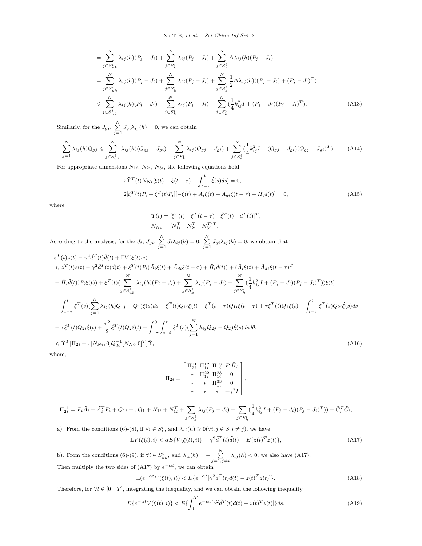Xu T B*, et al. Sci China Inf Sci* 3

$$
= \sum_{j \in S_{uk}^{i}}^{N} \lambda_{ij}(h)(P_{j} - J_{i}) + \sum_{j \in S_{k}^{i}}^{N} \lambda_{ij}(P_{j} - J_{i}) + \sum_{j \in S_{k}^{i}}^{N} \Delta \lambda_{ij}(h)(P_{j} - J_{i})
$$
  
\n
$$
= \sum_{j \in S_{uk}^{i}}^{N} \lambda_{ij}(h)(P_{j} - J_{i}) + \sum_{j \in S_{k}^{i}}^{N} \lambda_{ij}(P_{j} - J_{i}) + \sum_{j \in S_{k}^{i}}^{N} \frac{1}{2} \Delta \lambda_{ij}(h)((P_{j} - J_{i}) + (P_{j} - J_{i})^{T})
$$
  
\n
$$
\leqslant \sum_{j \in S_{uk}^{i}}^{N} \lambda_{ij}(h)(P_{j} - J_{i}) + \sum_{j \in S_{k}^{i}}^{N} \lambda_{ij}(P_{j} - J_{i}) + \sum_{j \in S_{k}^{i}}^{N} (\frac{1}{4}k_{ij}^{2}I + (P_{j} - J_{i})(P_{j} - J_{i})^{T}). \tag{A13}
$$

Similarly, for the  $J_{gi}$ ,  $\sum_{i=1}^{N}$  $\sum_{j=1} J_{gi} \lambda_{ij}(h) = 0$ , we can obtain

$$
\sum_{j=1}^{N} \lambda_{ij}(h) Q_{gj} \leqslant \sum_{j \in S_{uk}^{i}}^{N} \lambda_{ij}(h) (Q_{gj} - J_{gi}) + \sum_{j \in S_{k}^{i}}^{N} \lambda_{ij}(Q_{gj} - J_{gi}) + \sum_{j \in S_{k}^{i}}^{N} (\frac{1}{4} k_{ij}^{2} I + (Q_{gj} - J_{gi})(Q_{gj} - J_{gi})^{T}). \tag{A14}
$$

For appropriate dimensions  $N_{1i}$ ,  $N_{2i}$ ,  $N_{3i}$ , the following equations hold

$$
2\tilde{T}^{T}(t)N_{Ni}[\xi(t) - \xi(t-\tau) - \int_{t-\tau}^{t} \dot{\xi}(s)ds] = 0,
$$
  
\n
$$
2[\xi^{T}(t)P_{i} + \dot{\xi}^{T}(t)P_{i}][-\dot{\xi}(t) + \tilde{A}_{i}\xi(t) + \tilde{A}_{di}\xi(t-\tau) + \tilde{H}_{i}\tilde{d}(t)] = 0,
$$
\n(A15)

where

$$
\begin{aligned} \tilde{\Upsilon}(t) &= \left[\xi^T(t) \quad \xi^T(t-\tau) \quad \dot{\xi}^T(t) \quad \tilde{d}^T(t)\right]^T, \\ N_{Ni} &= \left[N_{1i}^T \quad N_{2i}^T \quad N_{3i}^T\right]^T. \end{aligned}
$$

According to the analysis, for the  $J_i$ ,  $J_{gi}$ ,  $\sum^N$  $\sum_{j=1}^{N} J_i \lambda_{ij}(h) = 0, \sum_{j=1}^{N} J_{gi} \lambda_{ij}(h) = 0$ , we obtain that

$$
z^{T}(t)z(t) - \gamma^{2}\tilde{d}^{T}(t)\tilde{d}(t) + \Gamma V(\xi(t), i)
$$
  
\n
$$
\leq z^{T}(t)z(t) - \gamma^{2}\tilde{d}^{T}(t)\tilde{d}(t) + \xi^{T}(t)P_{i}(\tilde{A}_{i}\xi(t) + \tilde{A}_{di}\xi(t-\tau) + \tilde{H}_{i}\tilde{d}(t)) + (\tilde{A}_{i}\xi(t) + \tilde{A}_{di}\xi(t-\tau)^{T})
$$
  
\n
$$
+ \tilde{H}_{i}\tilde{d}(t))P_{i}\xi(t) + \xi^{T}(t)\left(\sum_{j\in S_{ik}}^{N}\lambda_{ij}(h)(P_{j} - J_{i}) + \sum_{j\in S_{k}}^{N}\lambda_{ij}(P_{j} - J_{i}) + \sum_{j\in S_{k}}^{N}\left(\frac{1}{4}k_{ij}^{2}I + (P_{j} - J_{i})(P_{j} - J_{i})^{T}\right)\right)\xi(t)
$$
  
\n
$$
+ \int_{t-\tau}^{t}\xi^{T}(s)\left(\sum_{j=1}^{N}\lambda_{ij}(h)Q_{1j} - Q_{1})\xi(s)ds + \xi^{T}(t)Q_{1i}\xi(t) - \xi^{T}(t-\tau)Q_{1i}\xi(t-\tau) + \tau\xi^{T}(t)Q_{1}\xi(t) - \int_{t-\tau}^{t}\xi^{T}(s)Q_{2i}\xi(s)ds
$$
  
\n
$$
+ \tau\xi^{T}(t)Q_{2i}\xi(t) + \frac{\tau^{2}}{2}\xi^{T}(t)Q_{2}\xi(t) + \int_{-\tau}^{0}\int_{t+\theta}^{t}\xi^{T}(s)\left(\sum_{j=1}^{N}\lambda_{ij}Q_{2j} - Q_{2}\right)\xi(s)dsd\theta,
$$
  
\n
$$
\leq \tilde{\Upsilon}^{T}[\Pi_{2i} + \tau[N_{Ni},0]Q_{2i}^{-1}[N_{Ni},0]^{T}]\tilde{\Upsilon}, \qquad (A16)
$$

where,

$$
\Pi_{2i} = \begin{bmatrix} \Pi_{2i}^{11} & \Pi_{1i}^{12} & \Pi_{1i}^{13} & P_i \tilde{H}_i \\ * & \Pi_{1i}^{22} & \Pi_{1i}^{23} & 0 \\ * & * & \Pi_{1i}^{33} & 0 \\ * & * & * & -\gamma^2 I \end{bmatrix},
$$

$$
\Pi_{2i}^{11} = P_i \tilde{A}_i + \tilde{A}_i^T P_i + Q_{1i} + \tau Q_1 + N_{1i} + N_{1i}^T + \sum_{j \in S_k^i} \lambda_{ij} (P_j - J_i) + \sum_{j \in S_k^i} (\frac{1}{4} k_{ij}^2 I + (P_j - J_i)(P_j - J_i)^T)) + \tilde{C}_i^T \tilde{C}_i,
$$

a). From the conditions (6)-(8), if  $\forall i \in S_k^i$ , and  $\lambda_{ij}(h) \geq 0(\forall i, j \in S, i \neq j)$ , we have

$$
\mathbb{L}V(\xi(t),i) < \alpha E\{V(\xi(t),i)\} + \gamma^2 \tilde{d}^T(t)\tilde{d}(t) - E\{z(t)^T z(t)\},\tag{A17}
$$

b). From the conditions (6)-(9), if  $\forall i \in S_{uk}^i$ , and  $\lambda_{ii}(h) = -\sum_{i=1}^N S_i$  $j=1, j\neq i$  $\lambda_{ij}(h) < 0$ , we also have (A17). Then multiply the two sides of (A17) by  $e^{-\alpha t}$ , we can obtain

$$
\mathbb{L}(e^{-\alpha t}V(\xi(t),i)) < E\{e^{-\alpha t}[\gamma^2\tilde{d}^T(t)\tilde{d}(t) - z(t)^T z(t)]\}.\tag{A18}
$$

Therefore, for  $\forall t \in [0 \quad T]$ , integrating the inequality, and we can obtain the following inequality

$$
E\{e^{-\alpha t}V(\xi(t),i)\} < E\{\int_0^T e^{-\alpha t}[\gamma^2\tilde{d}^T(t)\tilde{d}(t) - z(t)^T z(t)]\}ds,
$$
\n(A19)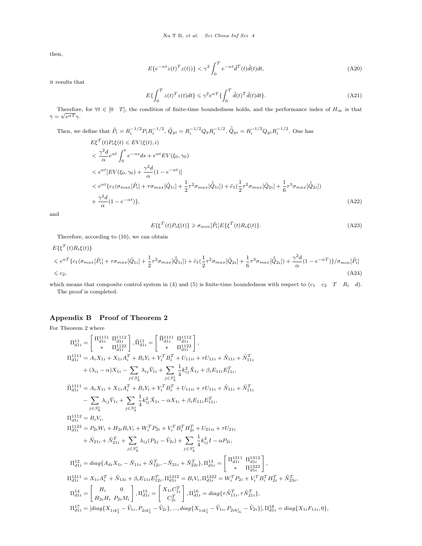then,

$$
E\{e^{-\alpha t}z(t)^Tz(t))\} < \gamma^2 \int_0^T e^{-\alpha t} \tilde{d}^T(t)\tilde{d}(t)dt,
$$
\n(A20)

it results that

$$
E\{\int_0^T z(t)^T z(t)dt\} \leq \gamma^2 e^{\alpha T} \{\int_0^T \tilde{d}(t)^T \tilde{d}(t)dt\}.
$$
 (A21)

Therefore, for  $\forall t \in [0 \ T]$ , the condition of finite-time boundedness holds, and the performance index of  $H_{\infty}$  is that  $\bar{\gamma} = \sqrt{e^{\alpha T}} \gamma.$ 

Then, we define that 
$$
\tilde{P}_i = R_i^{-1/2} P_i R_i^{-1/2}
$$
,  $\tilde{Q}_{gi} = R_i^{-1/2} Q_g R_i^{-1/2}$ ,  $\tilde{\tilde{Q}}_{gi} = R_i^{-1/2} Q_{gi} R_i^{-1/2}$ . One has  
\n
$$
E\xi^T(t) P_i\xi(t) \leq EV(\xi(t), i)
$$
\n
$$
< \frac{\gamma^2 d}{\alpha} e^{\alpha t} \int_0^t e^{-\alpha s} ds + e^{\alpha t} EV(\xi_0, \gamma_0)
$$
\n
$$
< e^{\alpha t} [EV(\xi_0, \gamma_0) + \frac{\gamma^2 d}{\alpha} (1 - e^{-\alpha t})]
$$
\n
$$
< e^{\alpha t} \{c_1(\sigma_{max}[\tilde{P}_i] + \tau \sigma_{max}[\tilde{Q}_{1i}] + \frac{1}{2} \tau^2 \sigma_{max}[\tilde{Q}_{1i}]) + \tilde{c}_1(\frac{1}{2} \tau^2 \sigma_{max}[\tilde{Q}_{2i}] + \frac{1}{6} \tau^3 \sigma_{max}[\tilde{Q}_{2i}])
$$
\n
$$
+ \frac{\gamma^2 d}{\alpha} (1 - e^{-\alpha t}) \}, \tag{A22}
$$

and

$$
E\{\xi^{T}(t)P_{i}\xi(t)\}\geq \sigma_{min}[\tilde{P}_{i}]E\{\xi^{T}(t)R_{i}\xi(t)\}.
$$
\n(A23)

Therefore, according to (10), we can obtain

$$
E\{\xi^{T}(t)R_{i}\xi(t)\}\n\leq e^{\alpha T}\{c_{1}(\sigma_{max}[\tilde{P}_{i}] + \tau\sigma_{max}[\tilde{Q}_{1i}] + \frac{1}{2}\tau^{2}\sigma_{max}[\tilde{\tilde{Q}}_{1i}]) + \tilde{c}_{1}(\frac{1}{2}\tau^{2}\sigma_{max}[\tilde{Q}_{2i}] + \frac{1}{6}\tau^{3}\sigma_{max}[\tilde{\tilde{Q}}_{2i}]) + \frac{\gamma^{2}d}{\alpha}(1 - e^{-\alpha T})\}/\sigma_{min}[\tilde{P}_{i}]\n\leq c_{2},
$$
\n(A24)

which means that composite control system in (4) and (5) is finite-time boundedness with respect to  $(c_1 \quad c_2 \quad T \quad R_i \quad d)$ . The proof is completed.

## **Appendix B Proof of Theorem 2**

For Theorem 2 where

$$
\begin{split} \Pi_{d1i}^{11} &= \begin{bmatrix} \Pi_{d1i}^{1111} \Pi_{d1i}^{1112} \\ * & \Pi_{d1i}^{112} \end{bmatrix}, \tilde{\Pi}_{d1i}^{111} = \begin{bmatrix} \tilde{\Pi}_{d1i}^{1111} \Pi_{d1i}^{1112} \\ * & \Pi_{d1i}^{1122} \end{bmatrix},\\ \Pi_{d1i}^{1111} &= A_i X_{1i} + X_{1i} A_i^T + B_i Y_i + Y_i^T B_i^T + U_{11ii} + \tau U_{11i} + \tilde{N}_{11i} + \tilde{N}_{11i}^T\\ & + (\lambda_{ii} - \alpha) X_{1i} - \sum_{j \in S_k^i} \lambda_{ij} \tilde{V}_{1i} + \sum_{j \in S_k^i} \frac{1}{4} k_{ij}^2 \tilde{X}_{1i} + \beta_i E_{11i} E_{11i}^T,\\ \tilde{\Pi}_{d1i}^{1111} &= A_i X_{1i} + X_{1i} A_i^T + B_i Y_i + Y_i^T B_i^T + U_{11ii} + \tau U_{11i} + \tilde{N}_{11i} + \tilde{N}_{11i}^T\\ & - \sum_{j \in S_k^i} \lambda_{ij} \tilde{V}_{1i} + \sum_{j \in S_k^i} \frac{1}{4} k_{ij}^2 \tilde{X}_{1i} - \alpha X_{1i} + \beta_i E_{11i} E_{11i}^T,\\ \Pi_{d1i}^{1112} &= B_i V_i,\\ \Pi_{d1i}^{1112} &= B_i V_i,\\ \Pi_{d1i}^{112} &= P_{2i} W_i + H_{2i} B_i V_i + W_i^T P_{2i} + V_i^T B_i^T H_{2i}^T + U_{21ii} + \tau U_{21i}\\ & + \tilde{N}_{21i} + \tilde{N}_{21i}^T + \sum_{j \in S_k^i} \lambda_{ij} (P_{2j} - \tilde{V}_{2i}) + \sum_{j \in S_k^i} \frac{1}{4} k_{ij}^2 I - \alpha P_{2i},\\ \Pi_{d1i}^{112} &= diag \{ A_{di} X_{1i} - \tilde{N}_{11i} + \tilde{N}_{12i}^T, -
$$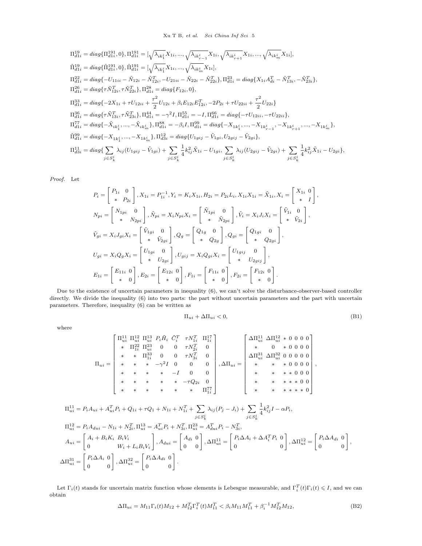$$
\begin{split} \Pi_{d1i}^{19} &= diag\{\Pi_{d1i}^{191},0\}, \Pi_{d1i}^{191} = [\sqrt{\lambda_{ik_1^i}} X_{1i},...,\sqrt{\lambda_{ik_{r-1}^i}} X_{1i},\sqrt{\lambda_{ik_{r+1}^i}} X_{1i},...,\sqrt{\lambda_{ik_m^i}} X_{1i}],\\ \tilde{\Pi}_{d1i}^{19} &= diag\{\tilde{\Pi}_{d1i}^{191},0\}, \tilde{\Pi}_{d1i}^{191} = [\sqrt{\lambda_{ik_1^i}} X_{1i},...,\sqrt{\lambda_{ik_m^i}} X_{1i}],\\ \Pi_{d1i}^{22} &= diag\{-U_{11ii}-\tilde{N}_{12i}-\tilde{N}_{12i}^T,-U_{21ii}-\tilde{N}_{22i}-\tilde{N}_{22i}^T\}, \Pi_{d1i}^{23} = diag\{X_{1i}A_{di}^T-\tilde{N}_{13i}^T,-\tilde{N}_{23i}^T\},\\ \Pi_{d1i}^{26} &= diag\{\tau \tilde{N}_{12i}^T,\tau \tilde{N}_{22i}^T\}, \Pi_{d1i}^{28} = diag\{F_{12i},0\},\\ \Pi_{d1i}^{33} &= diag\{-2X_{1i}+\tau U_{12ii}+\frac{\tau^2}{2}U_{12i}+\beta_iE_{12i}E_{12i}^T,-2P_{2i}+\tau U_{22ii}+\frac{\tau^2}{2}U_{22i}\}\\ \Pi_{d1i}^{36} &= diag\{\tau \tilde{N}_{13i}^T,\tau \tilde{N}_{23i}^T\}, \Pi_{d1i}^{44} = -\gamma^2 I, \Pi_{d1i}^{55} = -I, \Pi_{d1i}^{66} = diag\{-\tau U_{12ii},-\tau U_{22ii}\},\\ \Pi_{d1i}^{77} &= diag\{-\tilde{X}_{ik_1^i},...,-\tilde{X}_{ik_m^i}\}, \Pi_{d1i}^{88} = -\beta_i I, \Pi_{d1i}^{99} = diag\{-X_{1k_1^i},...,-X_{1k_{r-1}^i},-X_{1k_{r+1}^i},...,-X_{1k_m^i}\},\\ \tilde{\Pi}_{d1i}^{99} &= diag\{-X_{1k_1^i},...,-X_{1k_m^
$$

*Proof.* Let

$$
P_{i} = \begin{bmatrix} P_{1i} & 0 \\ * & P_{2i} \end{bmatrix}, X_{1i} = P_{1i}^{-1}, Y_{i} = K_{i}X_{1i}, H_{2i} = P_{2i}L_{i}, X_{1i}X_{1i} = \tilde{X}_{1i}, X_{i} = \begin{bmatrix} X_{1i} & 0 \\ * & I \end{bmatrix}
$$
  
\n
$$
N_{pi} = \begin{bmatrix} N_{1pi} & 0 \\ * & N_{2pi} \end{bmatrix}, \tilde{N}_{pi} = X_{i}N_{pi}X_{i} = \begin{bmatrix} \tilde{N}_{1pi} & 0 \\ * & \tilde{N}_{2pi} \end{bmatrix}, \tilde{V}_{i} = X_{i}J_{i}X_{i} = \begin{bmatrix} \tilde{V}_{1i} & 0 \\ * & \tilde{V}_{2i} \end{bmatrix},
$$
  
\n
$$
\tilde{V}_{gi} = X_{i}J_{gi}X_{i} = \begin{bmatrix} \tilde{V}_{1gi} & 0 \\ * & \tilde{V}_{2gi} \end{bmatrix}, Q_{g} = \begin{bmatrix} Q_{1g} & 0 \\ * & Q_{2g} \end{bmatrix}, Q_{gi} = \begin{bmatrix} Q_{1gi} & 0 \\ * & Q_{2gi} \end{bmatrix},
$$
  
\n
$$
U_{gi} = X_{i}Q_{g}X_{i} = \begin{bmatrix} U_{1gi} & 0 \\ * & U_{2gi} \end{bmatrix}, U_{gij} = X_{i}Q_{gi}X_{i} = \begin{bmatrix} U_{1gij} & 0 \\ * & U_{2gij} \end{bmatrix},
$$
  
\n
$$
E_{1i} = \begin{bmatrix} E_{11i} & 0 \\ * & 0 \end{bmatrix}, E_{2i} = \begin{bmatrix} E_{12i} & 0 \\ * & 0 \end{bmatrix}, F_{1i} = \begin{bmatrix} F_{11i} & 0 \\ * & 0 \end{bmatrix}, F_{2i} = \begin{bmatrix} F_{12i} & 0 \\ * & 0 \end{bmatrix}.
$$

Due to the existence of uncertain parameters in inequality (6), we can't solve the disturbance-observer-based controller directly. We divide the inequality (6) into two parts: the part without uncertain parameters and the part with uncertain parameters. Therefore, inequality (6) can be written as

$$
\Pi_{ui} + \Delta \Pi_{ui} < 0,\tag{B1}
$$

*,*

*,*

where

$$
\Pi_{ui} = \left[\begin{array}{cccccc} \Pi_{ui}^{11} & \Pi_{ui}^{12} & \Pi_{ui}^{13} & P_i \tilde{H}_i & \tilde{C}_i^T & \tau N_{1i}^T & \Pi_{1i}^{17} \\ * & \Pi_{1i}^{22} & \Pi_{ui}^{23} & 0 & 0 & \tau N_{2i}^T & 0 \\ * & * & \Pi_{1i}^{33} & 0 & 0 & \tau N_{3i}^T & 0 \\ * & * & * & * & -\gamma^2 I & 0 & 0 & 0 \\ * & * & * & * & -I & 0 & 0 \\ * & * & * & * & * & -\tau Q_{2i} & 0 \\ * & * & * & * & * & \Pi_{1i}^{77} \end{array}\right], \Delta\Pi_{ui} = \left[\begin{array}{cccccc} \Delta \Pi_{ui}^{11} & \Delta \Pi_{ui}^{12} & * & 0 & 0 & 0 \\ * & 0 & * & 0 & 0 & 0 & 0 \\ \Delta \Pi_{ui}^{31} & \Delta \Pi_{ui}^{32} & 0 & 0 & 0 & 0 \\ * & * & * & * & 0 & 0 & 0 \\ * & * & * & * & * & 0 & 0 \\ * & * & * & * & * & 0 & 0 \\ * & * & * & * & * & 0 & 0 \\ * & * & * & * & * & 0 & 0 \end{array}\right],
$$

$$
\Pi_{ui}^{11} = P_i A_{ui} + A_{ui}^T P_i + Q_{1i} + \tau Q_1 + N_{1i} + N_{1i}^T + \sum_{j \in S_k^i} \lambda_{ij} (P_j - J_i) + \sum_{j \in S_k^i} \frac{1}{4} k_{ij}^2 I - \alpha P_i,
$$
\n
$$
\Pi_{ui}^{12} = P_i A_{dui} - N_{1i} + N_{2i}^T, \Pi_{ui}^{13} = A_{ui}^T P_i + N_{3i}^T, \Pi_{ui}^{23} = A_{dui}^T P_i - N_{3i}^T,
$$
\n
$$
A_{ui} = \begin{bmatrix} A_i + B_i K_i & B_i V_i \\ 0 & W_i + L_i B_i V_i \end{bmatrix}, A_{dui} = \begin{bmatrix} A_{di} & 0 \\ 0 & 0 \end{bmatrix}, \Delta \Pi_{ui}^{11} = \begin{bmatrix} P_i \Delta A_i + \Delta A_i^T P_i & 0 \\ 0 & 0 \end{bmatrix}, \Delta \Pi_{ui}^{12} = \begin{bmatrix} P_i \Delta A_{di} & 0 \\ 0 & 0 \end{bmatrix}
$$
\n
$$
\Delta \Pi_{ui}^{31} = \begin{bmatrix} P_i \Delta A_i & 0 \\ 0 & 0 \end{bmatrix}, \Delta \Pi_{ui}^{32} = \begin{bmatrix} P_i \Delta A_{di} & 0 \\ 0 & 0 \end{bmatrix}.
$$

Let  $\Gamma_i(t)$  stands for uncertain matrix function whose elements is Lebesgue measurable, and  $\Gamma_i^T(t)\Gamma_i(t) \leq I$ , and we can obtain

$$
\Delta \Pi_{ui} = M_{11} \Gamma_i(t) M_{12} + M_{12}^T \Gamma_i^T(t) M_{11}^T < \beta_i M_{11} M_{11}^T + \beta_i^{-1} M_{12}^T M_{12},
$$
\n(B2)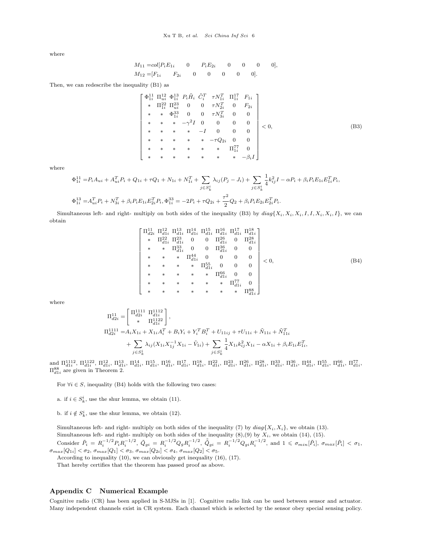where

$$
M_{11} = col[P_i E_{1i} \t 0 \t P_i E_{2i} \t 0 \t 0 \t 0],
$$
  

$$
M_{12} = [F_{1i} \t F_{2i} \t 0 \t 0 \t 0 \t 0],
$$

Then, we can redescribe the inequality (B1) as

$$
\begin{bmatrix}\n\Phi_{1i}^{11} \ \Pi_{ui}^{12} \ \Phi_{1i}^{13} \ P_{i}\tilde{H}_{i} \ \tilde{C}_{i}^{T} \ \tau N_{1i}^{T} \ \Pi_{1i}^{17} \ F_{1i} \\
* \ \Pi_{1i}^{22} \ \Pi_{ui}^{23} \ 0 \ 0 \ \tau N_{2i}^{T} \ 0 \ F_{2i} \\
* \ \ast \ \Phi_{1i}^{33} \ 0 \ 0 \ \tau N_{3i}^{T} \ 0 \ 0 \\
* \ \ast \ \ast \ -\gamma^{2}I \ 0 \ 0 \ 0 \ 0 \\
* \ \ast \ \ast \ \ast \ -I \ 0 \ 0 \ 0 \ 0 \\
* \ \ast \ \ast \ \ast \ \ast \ -\tau Q_{2i} \ 0 \ 0 \\
* \ \ast \ \ast \ \ast \ \ast \ \ast \ \Pi_{1i}^{77} \ 0 \\
* \ \ast \ \ast \ \ast \ \ast \ \ast \ \ast \ \ast \ \Pi_{1i}^{77} \ 0 \\
* \ \ast \ \ast \ \ast \ \ast \ \ast \ \ast \ \ast \ \ast \ \ast \ \ast \ \Lambda_{1i}^{77} \ 0\n\end{bmatrix}
$$
\n
$$
\begin{bmatrix}\n\Phi_{1i}^{11} \ \Pi_{ii}^{22} \ \Pi_{iu}^{23} \ 0 \\
\Phi_{2i}^{12} \ \Phi_{1i}^{23} \ 0 \\
\Phi_{2i}^{23} \ \Phi_{1i}^{23} \ 0 \\
\Phi_{1i}^{23} \ \Phi_{1i}^{23} \ 0 \\
\Phi_{2i}^{23} \ \Phi_{1i}^{23} \ 0 \\
\Phi_{2i}^{23} \ \Phi_{1i}^{23} \ 0 \\
\Phi_{2i}^{23} \ \Phi_{1i}^{23} \ 0 \\
\Phi_{2i}^{23} \ \Phi_{1i}^{23} \ 0 \\
\Phi_{2i}^{23} \ \Phi_{1i}^{23} \ 0 \\
\Phi_{2i}^{23} \ \Phi_{1i}^{23} \ 0 \\
\Phi_{2i}^{23} \ \Phi_{1i}^{23} \ 0 \\
\Phi_{2i}^{23} \ \Phi_{1i}^{23} \ 0 \\
\Phi_{2i}^{23} \ \Phi_{1i}^{23} \ 0 \\
\Phi_{2i}^{23} \ \Phi_{1i}^{23} \ 0 \\
\Phi_{2
$$

where

$$
\Phi_{1i}^{11} = P_i A_{ui} + A_{ui}^T P_i + Q_{1i} + \tau Q_1 + N_{1i} + N_{1i}^T + \sum_{j \in S_k^i} \lambda_{ij} (P_j - J_i) + \sum_{j \in S_k^i} \frac{1}{4} k_{ij}^2 I - \alpha P_i + \beta_i P_i E_{1i} E_{1i}^T P_i,
$$
  
\n
$$
\Phi_{1i}^{13} = A_{ui}^T P_i + N_{3i}^T + \beta_i P_i E_{1i} E_{2i}^T P_i, \Phi_{1i}^{33} = -2P_i + \tau Q_{2i} + \frac{\tau^2}{2} Q_2 + \beta_i P_i E_{2i} E_{2i}^T P_i.
$$

Simultaneous left- and right- multiply on both sides of the inequality (B3) by  $diag\{X_i, X_i, X_i, I, I, X_i, X_i, I\}$ , we can obtain

$$
\begin{bmatrix}\n\Pi_{d2i}^{11} & \Pi_{d1i}^{12} & \Pi_{d1i}^{14} & \Pi_{d1i}^{15} & \Pi_{d1i}^{16} & \Pi_{d1i}^{17} & \Pi_{d1i}^{18} \\
* & \Pi_{d1i}^{22} & \Pi_{d1i}^{23} & 0 & 0 & \Pi_{d1i}^{26} & 0 & \Pi_{d1i}^{28} \\
* & * & \Pi_{d1i}^{33} & 0 & 0 & \Pi_{d1i}^{36} & 0 & 0 \\
* & * & * & \Pi_{d1i}^{44} & 0 & 0 & 0 & 0 \\
* & * & * & * & \Pi_{d1i}^{55} & 0 & 0 & 0 \\
* & * & * & * & \Pi_{d1i}^{56} & 0 & 0 & 0 \\
* & * & * & * & * & \Pi_{d1i}^{66} & 0 & 0 \\
* & * & * & * & * & \Pi_{d1i}^{77} & 0 \\
* & * & * & * & * & * & \Pi_{d1i}^{88}\n\end{bmatrix} < 0,
$$
\n(B4)

where

$$
\begin{split} \Pi_{d2i}^{11}=&\begin{bmatrix} \Pi_{d2i}^{1111} & \Pi_{d1i}^{1112} \\ * & \Pi_{d1i}^{1122} \end{bmatrix}, \\ \Pi_{d2i}^{1111}=&A_iX_{1i}+X_{1i}A_i^T+B_iY_i+Y_i^TB_i^T+U_{11ij}+\tau U_{11i}+\tilde{N}_{11i}+\tilde{N}_{11i}^T \\ &+\sum_{j\in S_k^i}\lambda_{ij}(X_{1i}X_{1j}^{-1}X_{1i}-\tilde{V}_{1i})+\sum_{j\in S_k^i}\frac{1}{4}X_{1i}k_{ij}^2X_{1i}-\alpha X_{1i}+\beta_iE_{1i}E_{1i}^T, \end{split}
$$

and  $\Pi_{d1i}^{1112}$ ,  $\Pi_{d1i}^{1122}$ ,  $\Pi_{d1i}^{12}$ ,  $\Pi_{d1i}^{13}$ ,  $\Pi_{d1i}^{14}$ ,  $\Pi_{d1i}^{15}$ ,  $\Pi_{d1i}^{17}$ ,  $\Pi_{d1i}^{18}$ ,  $\Pi_{d1i}^{22}$ ,  $\Pi_{d1i}^{23}$ ,  $\Pi_{d1i}^{28}$ ,  $\Pi_{d1i}^{28}$ ,  $\Pi_{d1i}^{33}$ ,  $\Pi_{d1i}^{36}$ ,  $\Pi$  $\Pi_{d1i}^{88}$  are given in Theorem 2.

For  $\forall i \in S$ , inequality (B4) holds with the following two cases:

a. if  $i \in S_k^i$ , use the shur lemma, we obtain (11).

b. if  $i \notin S_k^i$ , use the shur lemma, we obtain (12).

Simultaneous left- and right- multiply on both sides of the inequality (7) by  $diag{X_i, X_i}$ , we obtain (13). Simultaneous left- and right- multiply on both sides of the inequality  $(8)(9)$  by  $X_i$ , we obtain  $(14)$ ,  $(15)$ . Consider  $\tilde{P}_i = R_i^{-1/2} P_i R_i^{-1/2}$ ,  $\tilde{Q}_{gi} = R_i^{-1/2} Q_g R_i^{-1/2}$ ,  $\tilde{\tilde{Q}}_{gi} = R_i^{-1/2} Q_{gi} R_i^{-1/2}$ , and  $1 \leq \sigma_{min}[\tilde{P}_i]$ ,  $\sigma_{max}[\tilde{P}_i] < \sigma_1$ ,  $\sigma_{max}[Q_{1i}] < \sigma_{2}, \, \sigma_{max}[Q_{1}] < \sigma_{3}, \, \sigma_{max}[Q_{2i}] < \sigma_{4}, \, \sigma_{max}[Q_{2}] < \sigma_{5}.$ 

According to inequality (10), we can obviously get inequality (16), (17).

That hereby certifies that the theorem has passed proof as above.

#### **Appendix C Numerical Example**

Cognitive radio (CR) has been applied in S-MJSs in [1]. Cognitive radio link can be used between sensor and actuator. Many independent channels exist in CR system. Each channel which is selected by the sensor obey special sensing policy.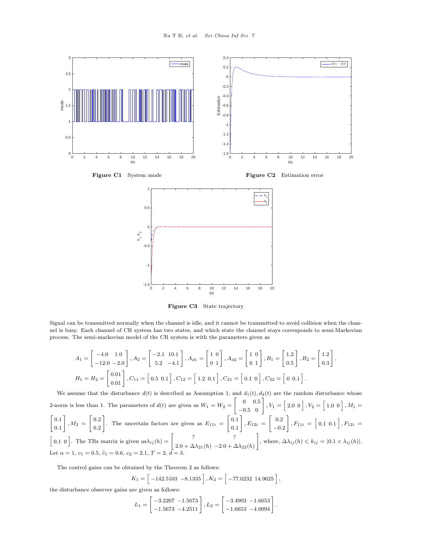

**Figure C3** State trajectory

Signal can be transmitted normally when the channel is idle, and it cannot be transmitted to avoid collision when the channel is busy. Each channel of CR system has two states, and which state the channel stays corresponds to semi-Markovian process. The semi-markovian model of the CR system is with the parameters given as

$$
A_1 = \begin{bmatrix} -4.0 & 1.0 \\ -12.0 & -2.0 \end{bmatrix}, A_2 = \begin{bmatrix} -2.1 & 10.1 \\ 5.2 & -4.1 \end{bmatrix}, A_{d1} = \begin{bmatrix} 1 & 0 \\ 0 & 1 \end{bmatrix}, A_{d2} = \begin{bmatrix} 1 & 0 \\ 0 & 1 \end{bmatrix}, B_1 = \begin{bmatrix} 1.2 \\ 0.5 \end{bmatrix}, B_2 = \begin{bmatrix} 1.2 \\ 0.3 \end{bmatrix},
$$
  
\n
$$
H_1 = H_2 = \begin{bmatrix} 0.01 \\ 0.01 \end{bmatrix}, C_{11} = \begin{bmatrix} 0.5 & 0.1 \end{bmatrix}, C_{12} = \begin{bmatrix} 1.2 & 0.1 \end{bmatrix}, C_{21} = \begin{bmatrix} 0.1 & 0 \end{bmatrix}, C_{22} = \begin{bmatrix} 0 & 0.1 \end{bmatrix}.
$$

We assume that the disturbance  $d(t)$  is described as Assumption 1, and  $d_1(t), d_2(t)$  are the random disturbance whose 2-norm is less than 1. The parameters of  $d(t)$  are given as  $W_1 = W_2$  $\begin{bmatrix} 0 & 0.5 \\ -0.5 & 0 \end{bmatrix}$ ,  $V_1 = \begin{bmatrix} 2.0 & 0 \end{bmatrix}$ ,  $V_2 = \begin{bmatrix} 1.0 & 0 \end{bmatrix}$ ,  $M_1 =$  $\begin{bmatrix} 0 & 1 \end{bmatrix}$   $\begin{bmatrix} 0 & 2 \end{bmatrix}$   $\begin{bmatrix} 0 & 1 \end{bmatrix}$   $\begin{bmatrix} 0 & 1 \end{bmatrix}$ 0*.*1  $\begin{array}{c|c} 0.1 & M_2 = \begin{array}{|c} 0.2 & 0.2 \end{array} \ \end{array}$  $\begin{bmatrix} 0.2 \\ 0.2 \end{bmatrix}$ . The uncertain factors are given as  $E_{11i} = \begin{bmatrix} 0.1 \\ 0.1 \end{bmatrix}$  $\begin{array}{|l} 0.1 \ 0.1 \end{array} \bigg | \, , E_{12i} \, = \, \, \bigg | \, \begin{array}{l} 0.2 \ -0.2 \end{array}$  $\begin{bmatrix} 0.2 \\ -0.2 \end{bmatrix}$ ,  $F_{11i} = \begin{bmatrix} 0.1 & 0.1 \end{bmatrix}$ ,  $F_{12i} =$  $\begin{bmatrix} 0.1 & 0 \end{bmatrix}$ . The TRs matrix is given  $\text{as} \lambda_{ij}(h) = \begin{bmatrix} ? & ? \\ ? & \end{bmatrix}$  $2.0 + \Delta\lambda_{21}(h) -2.0 + \Delta\lambda_{22}(h)$ ] , where,  $\Delta \lambda_{ij}(h) \leq k_{ij} = |0.1 \times \lambda_{ij}(h)|$ . Let  $\alpha = 1, c_1 = 0.5, \tilde{c}_1 = 0.6, c_2 = 2.1, T = 2, d = 3$ 

The control gains can be obtained by the Theorem 2 as follows:

$$
K_1 = \left[ \begin{array}{c} -142.5103 & -8.1335 \end{array} \right], K_2 = \left[ \begin{array}{c} -77.0232 & 14.9625 \end{array} \right],
$$

the disturbance observer gains are given as follows:

$$
L_1 = \begin{bmatrix} -3.2207 & -1.5673 \\ -1.5673 & -4.2511 \end{bmatrix}, L_2 = \begin{bmatrix} -3.4903 & -1.6653 \\ -1.6653 & -4.0094 \end{bmatrix}.
$$